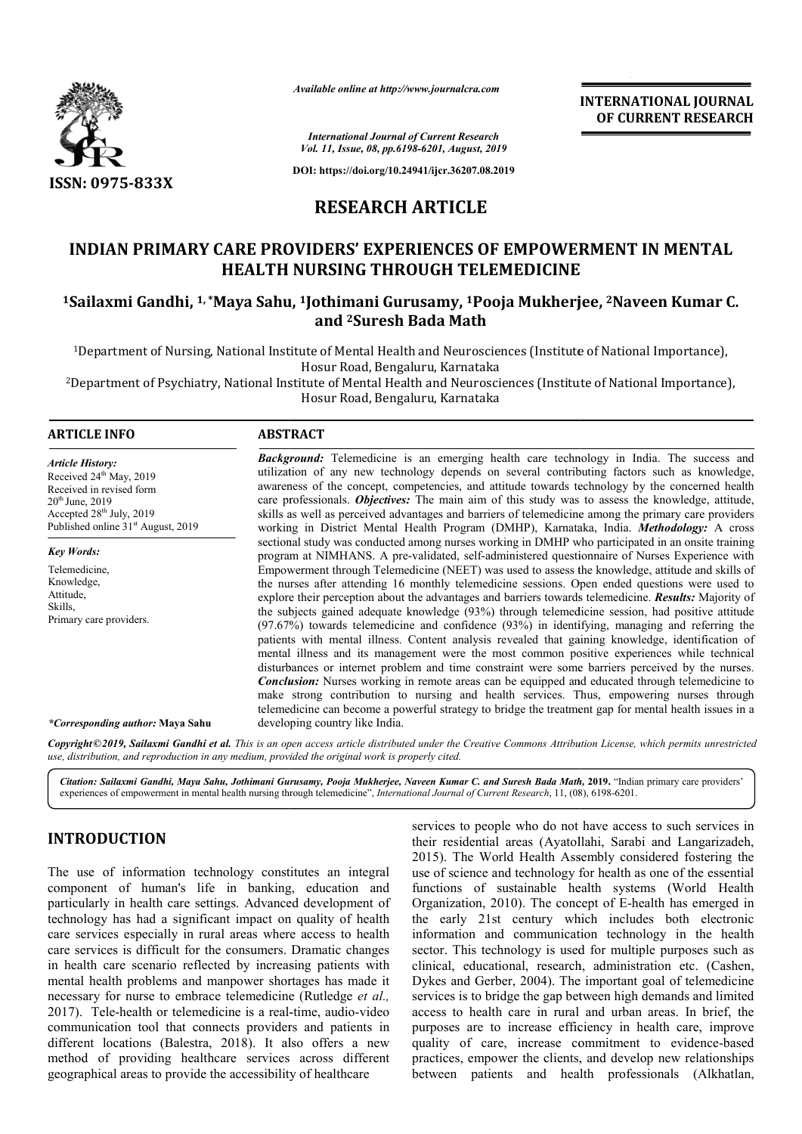

*Available online at http://www.journalcra.com*

**INTERNATIONAL JOURNAL OF CURRENT RESEARCH**

*International Journal of Current Research Vol. 11, Issue, 08, pp.6198-6201, August, 2019*

**DOI: https://doi.org/10.24941/ijcr.36207.08.2019**

# **RESEARCH ARTICLE**

# **INDIAN PRIMARY CARE PROVIDERS' EXPERIENCES OF EMPOWERMENT IN MENTAL HEALTH NURSING THROUGH TELEMEDICINE** INDIAN PRIMARY CARE PROVIDERS' EXPERIENCES OF EMPOWERMENT IN MENTAL<br>HEALTH NURSING THROUGH TELEMEDICINE<br><sup>1</sup>Sailaxmi Gandhi, <sup>1, \*</sup>Maya Sahu, <sup>1</sup>Jothimani Gurusamy, <sup>1</sup>Pooja Mukherjee, <sup>2</sup>Naveen Kumar C.

# **and 2Suresh Bada Math**

<sup>1</sup>Department of Nursing, National Institute of Mental Health and Neurosciences (Institute of National Importance), Hosur Road, Bengaluru, Karnataka

2Department of Psychiatry, National Institute of Mental Health and Neurosciences (Institute of National Importance), (Institute of National Importance),

Hosur Road, Bengaluru, Karnataka

## **ARTICLE INFO ABSTRACT**

*Article History:* Received 24<sup>th</sup> May, 2019 Received in revised form  $20<sup>th</sup>$  June,  $2019$ Accepted  $28<sup>th</sup>$  July, 2019 Published online  $31<sup>st</sup>$  August, 2019

*Key Words:* Telemedicine,

*\*Corresponding author:* **Maya Sahu**

Knowledge, Attitude, Skills, Primary care providers.

**Background:** Telemedicine is an emerging health care technology in India. The success and utilization of any new technology depends on several contributing factors such as knowledge, **Background:** Telemedicine is an emerging health care technology in India. The success and utilization of any new technology depends on several contributing factors such as knowledge, awareness of the concept, competencies care professionals. *Objectives:* The main aim of this study was to assess the knowledge, attitude, skills as well as perceived advantages and barriers of telemedicine among the primary care providers working in District Mental Health Program (DMHP), Karnataka, India. sectional study was conducted among nurses working in DMHP who participated in an onsite training sectional study was conducted among nurses working in DMHP who participated in an onsite training<br>program at NIMHANS. A pre-validated, self-administered questionnaire of Nurses Experience with Empowerment through Telemedicine (NEET) was used to assess the knowledge, attitude and skills of the nurses after attending 16 monthly telemedicine sessions. Open ended questions were used to the nurses after attending 16 monthly telemedicine sessions. Open ended questions were used to explore their perception about the advantages and barriers towards telemedicine. **Results:** Majority of the subjects gained adequate knowledge (93%) through telemedicine session, had positive attitude (97.67%) towards telemedicine and confidence (93%) in identifying, managing and referring the patients with mental illness. Content analysis revealed that gaining knowledge, identification of mental illness and its management were the most common positive experiences while technical disturbances or internet problem and time constraint were some barriers perceived by the nurses. *Conclusion:* Nurses working in remote areas can be equipped and educated through telemedicine to make strong contribution to nursing and health services. Thus, empowering nurses through telemedicine can become a powerful strategy to bridge the treatment gap for mental developing country like India. care professionals. *Objectives*: The main aim of this study was to assess the knowledge, attitude, skills as well as perceived advantages and barriers of telemedicine among the primary care providers working in District M the subjects gained adequate knowledge (93%) through telemedicine session, had positive attitude (97.67%) towards telemedicine and confidence (93%) in identifying, managing and referring the patients with mental illness. C

Copyright©2019, Sailaxmi Gandhi et al. This is an open access article distributed under the Creative Commons Attribution License, which permits unrestrictea *use, distribution, and reproduction in any medium, provided the original work is properly cited.*

Citation: Sailaxmi Gandhi, Maya Sahu, Jothimani Gurusamy, Pooja Mukherjee, Naveen Kumar C. and Suresh Bada Math, 2019. "Indian primary care providers' experiences of empowerment in mental health nursing through telemedicine", *International Journal of Current Research*, 11, (08), 6198-6201.

# **INTRODUCTION**

The use of information technology constitutes an integral component of human's life in banking, education and particularly in health care settings. Advanced development of technology has had a significant impact on quality of health care services especially in rural areas where access to health care services is difficult for the consumers. Dramatic changes in health care scenario reflected by increasing patients with mental health problems and manpower shortages has made it necessary for nurse to embrace telemedicine (Rutledge et al., 2017). Tele-health or telemedicine is a real-time, audio-video communication tool that connects providers and patients in different locations (Balestra, 2018). It also offers a new method of providing healthcare services across different geographical areas to provide the accessibility of healthcare y in rural areas where access to health<br>lt for the consumers. Dramatic changes<br>o reflected by increasing patients with<br>is and manpower shortages has made it<br>embrace telemedicine (Rutledge *et al.*,

**JCTION**<br>
services to people who do not have access to such services in<br>
their residential areas (Ayatollahi, Starbi charactade)<br>
information technology constitutes an integral and Longarizadieh, Starbi considered fosterin services to people who do not have access to such services in their residential areas (Ayatollahi, Sarabi and Langarizadeh, 2015). The World Health Assembly considered fostering the use of science and technology for health as one of the essential use of science and technology for health as one of the essential functions of sustainable health systems (World Health Organization, 2010). The concept of E-health has emerged in the early 21st century which includes both electronic information and communication technology in the health sector. This technology is used for multiple purposes such as clinical, educational, research, administration etc. (Cashen, Dykes and Gerber, 2004). The important goal of telemedicine services is to bridge the gap between high demands and limited access to health care in rural and urban areas. In brief, the purposes are to increase efficiency in health care, improve quality of care, increase commitment to evidence-based practices, empower the clients, and develop new relationships practices, empower the clients, and develop new relationships<br>between patients and health professionals (Alkhatlan, and communication technology in the health<br>technology is used for multiple purposes such as<br>acational, research, administration etc. (Cashen, health care in rural and urban areas. In brief, the are to increase efficiency in health care, improve f care, increase commitment to evidence-based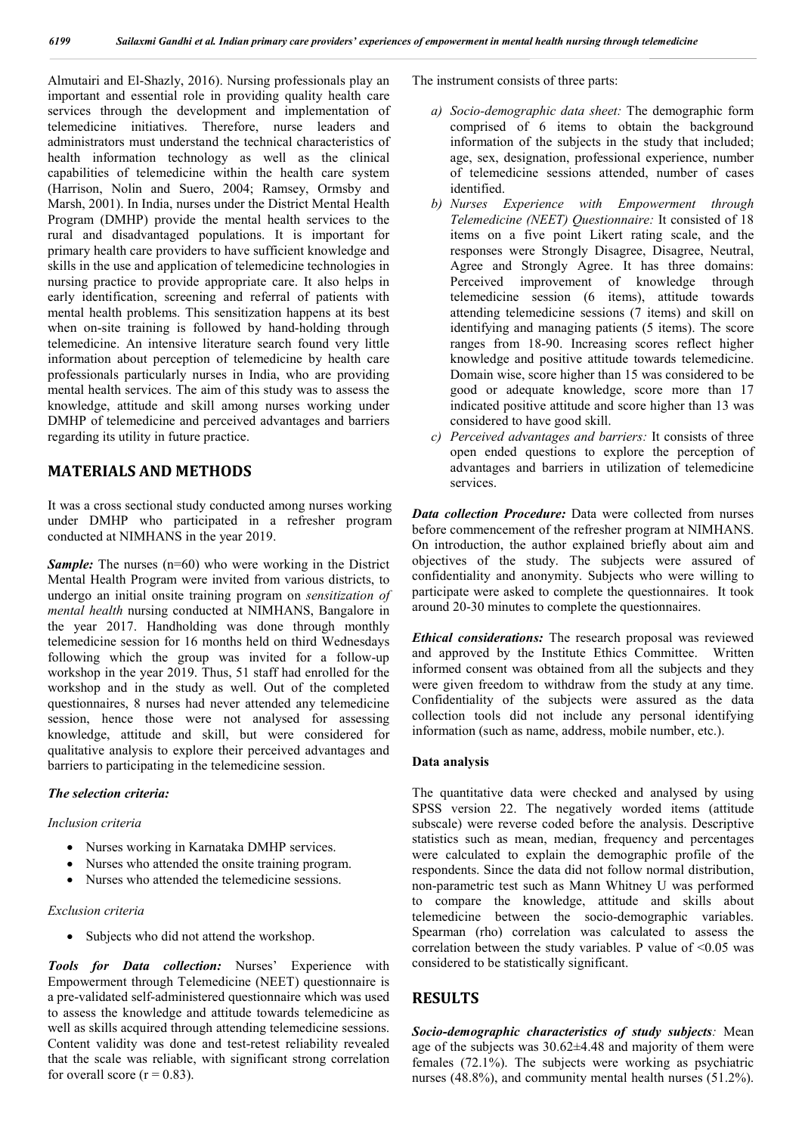Almutairi and El-Shazly, 2016). Nursing professionals play an important and essential role in providing quality health care services through the development and implementation of telemedicine initiatives. Therefore, nurse leaders and administrators must understand the technical characteristics of health information technology as well as the clinical capabilities of telemedicine within the health care system (Harrison, Nolin and Suero, 2004; Ramsey, Ormsby and Marsh, 2001). In India, nurses under the District Mental Health Program (DMHP) provide the mental health services to the rural and disadvantaged populations. It is important for primary health care providers to have sufficient knowledge and skills in the use and application of telemedicine technologies in nursing practice to provide appropriate care. It also helps in early identification, screening and referral of patients with mental health problems. This sensitization happens at its best when on-site training is followed by hand-holding through telemedicine. An intensive literature search found very little information about perception of telemedicine by health care professionals particularly nurses in India, who are providing mental health services. The aim of this study was to assess the knowledge, attitude and skill among nurses working under DMHP of telemedicine and perceived advantages and barriers regarding its utility in future practice.

# **MATERIALS AND METHODS**

It was a cross sectional study conducted among nurses working under DMHP who participated in a refresher program conducted at NIMHANS in the year 2019.

*Sample:* The nurses (n=60) who were working in the District Mental Health Program were invited from various districts, to undergo an initial onsite training program on *sensitization of mental health* nursing conducted at NIMHANS, Bangalore in the year 2017. Handholding was done through monthly telemedicine session for 16 months held on third Wednesdays following which the group was invited for a follow-up workshop in the year 2019. Thus, 51 staff had enrolled for the workshop and in the study as well. Out of the completed questionnaires, 8 nurses had never attended any telemedicine session, hence those were not analysed for assessing knowledge, attitude and skill, but were considered for qualitative analysis to explore their perceived advantages and barriers to participating in the telemedicine session.

#### *The selection criteria:*

#### *Inclusion criteria*

- Nurses working in Karnataka DMHP services.
- Nurses who attended the onsite training program.
- Nurses who attended the telemedicine sessions.

#### *Exclusion criteria*

• Subjects who did not attend the workshop.

*Tools for Data collection:* Nurses' Experience with Empowerment through Telemedicine (NEET) questionnaire is a pre-validated self-administered questionnaire which was used to assess the knowledge and attitude towards telemedicine as well as skills acquired through attending telemedicine sessions. Content validity was done and test-retest reliability revealed that the scale was reliable, with significant strong correlation for overall score  $(r = 0.83)$ .

The instrument consists of three parts:

- *a) Socio-demographic data sheet:* The demographic form comprised of 6 items to obtain the background information of the subjects in the study that included; age, sex, designation, professional experience, number of telemedicine sessions attended, number of cases identified.
- *b) Nurses Experience with Empowerment through Telemedicine (NEET) Questionnaire:* It consisted of 18 items on a five point Likert rating scale, and the responses were Strongly Disagree, Disagree, Neutral, Agree and Strongly Agree. It has three domains: Perceived improvement of knowledge through telemedicine session (6 items), attitude towards attending telemedicine sessions (7 items) and skill on identifying and managing patients (5 items). The score ranges from 18-90. Increasing scores reflect higher knowledge and positive attitude towards telemedicine. Domain wise, score higher than 15 was considered to be good or adequate knowledge, score more than 17 indicated positive attitude and score higher than 13 was considered to have good skill.
- *c) Perceived advantages and barriers:* It consists of three open ended questions to explore the perception of advantages and barriers in utilization of telemedicine services.

*Data collection Procedure:* Data were collected from nurses before commencement of the refresher program at NIMHANS. On introduction, the author explained briefly about aim and objectives of the study. The subjects were assured of confidentiality and anonymity. Subjects who were willing to participate were asked to complete the questionnaires. It took around 20-30 minutes to complete the questionnaires.

*Ethical considerations:* The research proposal was reviewed and approved by the Institute Ethics Committee. Written informed consent was obtained from all the subjects and they were given freedom to withdraw from the study at any time. Confidentiality of the subjects were assured as the data collection tools did not include any personal identifying information (such as name, address, mobile number, etc.).

#### **Data analysis**

The quantitative data were checked and analysed by using SPSS version 22. The negatively worded items (attitude subscale) were reverse coded before the analysis. Descriptive statistics such as mean, median, frequency and percentages were calculated to explain the demographic profile of the respondents. Since the data did not follow normal distribution, non-parametric test such as Mann Whitney U was performed to compare the knowledge, attitude and skills about telemedicine between the socio-demographic variables. Spearman (rho) correlation was calculated to assess the correlation between the study variables. P value of <0.05 was considered to be statistically significant.

# **RESULTS**

*Socio-demographic characteristics of study subjects:* Mean age of the subjects was  $30.62\pm4.48$  and majority of them were females (72.1%). The subjects were working as psychiatric nurses (48.8%), and community mental health nurses (51.2%).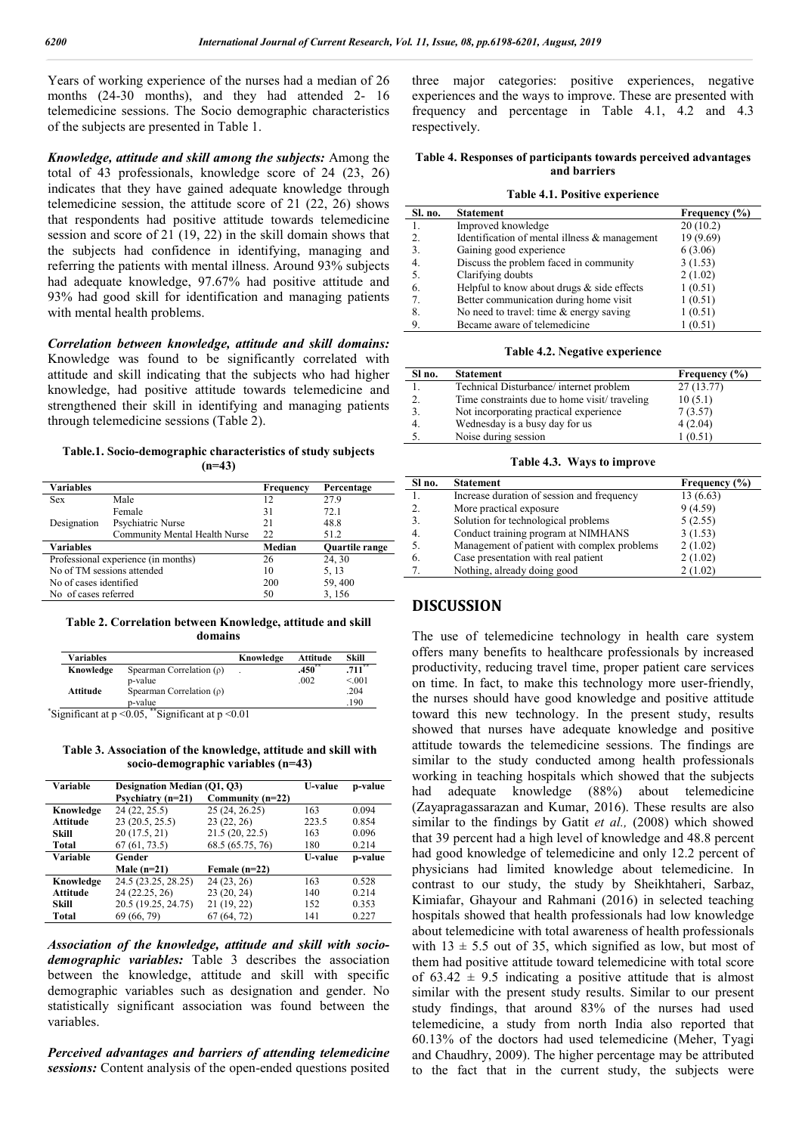Years of working experience of the nurses had a median of 26 months (24-30 months), and they had attended 2- 16 telemedicine sessions. The Socio demographic characteristics of the subjects are presented in Table 1.

*Knowledge, attitude and skill among the subjects:* Among the total of 43 professionals, knowledge score of 24 (23, 26) indicates that they have gained adequate knowledge through telemedicine session, the attitude score of 21 (22, 26) shows that respondents had positive attitude towards telemedicine session and score of 21 (19, 22) in the skill domain shows that the subjects had confidence in identifying, managing and referring the patients with mental illness. Around 93% subjects had adequate knowledge, 97.67% had positive attitude and 93% had good skill for identification and managing patients with mental health problems.

*Correlation between knowledge, attitude and skill domains:* Knowledge was found to be significantly correlated with attitude and skill indicating that the subjects who had higher knowledge, had positive attitude towards telemedicine and strengthened their skill in identifying and managing patients through telemedicine sessions (Table 2).

**Table.1. Socio-demographic characteristics of study subjects (n=43)**

| <b>Variables</b>                    |                               | Frequency | Percentage            |
|-------------------------------------|-------------------------------|-----------|-----------------------|
| <b>Sex</b>                          | Male                          | 12        | 27.9                  |
|                                     | Female                        | 31        | 72.1                  |
| Designation                         | Psychiatric Nurse             | 21        | 48.8                  |
|                                     | Community Mental Health Nurse | 22        | 51.2                  |
| <b>Variables</b>                    |                               | Median    | <b>Ouartile range</b> |
| Professional experience (in months) |                               | 26        | 24, 30                |
| No of TM sessions attended          |                               | 10        | 5, 13                 |
| No of cases identified              |                               | 200       | 59,400                |
| No of cases referred                |                               | 50        | 3.156                 |

**Table 2. Correlation between Knowledge, attitude and skill domains**

| <b>Variables</b> |                               | Knowledge | Attitude | Skill     |
|------------------|-------------------------------|-----------|----------|-----------|
| Knowledge        | Spearman Correlation $(\rho)$ |           | $.450**$ | $.711***$ |
|                  | p-value                       |           | .002     | < 001     |
| Attitude         | Spearman Correlation $(\rho)$ |           |          | .204      |
|                  | p-value                       |           |          | 190       |

\* Significant at p <0.05, \*\*Significant at p <0.01

**Table 3. Association of the knowledge, attitude and skill with socio-demographic variables (n=43)**

| Variable        | Designation Median (Q1, Q3) |                    | <b>U-value</b> | p-value |
|-----------------|-----------------------------|--------------------|----------------|---------|
|                 | Psychiatry $(n=21)$         | Community $(n=22)$ |                |         |
| Knowledge       | 24(22, 25.5)                | 25 (24, 26.25)     | 163            | 0.094   |
| <b>Attitude</b> | 23(20.5, 25.5)              | 23(22, 26)         | 223.5          | 0.854   |
| Skill           | 20 (17.5, 21)               | 21.5(20, 22.5)     | 163            | 0.096   |
| Total           | 67(61, 73.5)                | 68.5 (65.75, 76)   | 180            | 0.214   |
| Variable        | Gender                      |                    | <b>U-value</b> | p-value |
|                 | Male $(n=21)$               | Female $(n=22)$    |                |         |
| Knowledge       | 24.5 (23.25, 28.25)         | 24 (23, 26)        | 163            | 0.528   |
| Attitude        | 24 (22.25, 26)              | 23(20, 24)         | 140            | 0.214   |
| Skill           | 20.5 (19.25, 24.75)         | 21 (19, 22)        | 152            | 0.353   |
| Total           | 69 (66, 79)                 | 67(64, 72)         | 141            | 0.227   |

*Association of the knowledge, attitude and skill with sociodemographic variables:* Table 3 describes the association between the knowledge, attitude and skill with specific demographic variables such as designation and gender. No statistically significant association was found between the variables.

*Perceived advantages and barriers of attending telemedicine sessions:* Content analysis of the open-ended questions posited three major categories: positive experiences, negative experiences and the ways to improve. These are presented with frequency and percentage in Table 4.1, 4.2 and 4.3 respectively.

#### **Table 4. Responses of participants towards perceived advantages and barriers**

#### **Table 4.1. Positive experience**

| Sl. no.        | <b>Statement</b>                              | Frequency $(\% )$ |
|----------------|-----------------------------------------------|-------------------|
| 1.             | Improved knowledge                            | 20(10.2)          |
| 2.             | Identification of mental illness & management | 19 (9.69)         |
| 3.             | Gaining good experience                       | 6(3.06)           |
| 4.             | Discuss the problem faced in community        | 3(1.53)           |
| 5.             | Clarifying doubts                             | 2(1.02)           |
| 6.             | Helpful to know about drugs $&$ side effects  | 1(0.51)           |
| 7 <sub>1</sub> | Better communication during home visit        | 1(0.51)           |
| 8.             | No need to travel: time $\&$ energy saving    | 1(0.51)           |
| 9.             | Became aware of telemedicine                  | 1(0.51)           |

#### **Table 4.2. Negative experience**

| Sl no. | <b>Statement</b>                             | Frequency $(\% )$ |
|--------|----------------------------------------------|-------------------|
|        | Technical Disturbance/ internet problem      | 27(13.77)         |
|        | Time constraints due to home visit/traveling | 10(5.1)           |
|        | Not incorporating practical experience       | 7(3.57)           |
| 4.     | Wednesday is a busy day for us               | 4(2.04)           |
|        | Noise during session                         | 1(0.51)           |

**Table 4.3. Ways to improve**

| Sl no. | <b>Statement</b>                            | Frequency (%) |
|--------|---------------------------------------------|---------------|
|        | Increase duration of session and frequency  | 13(6.63)      |
|        | More practical exposure                     | 9(4.59)       |
|        | Solution for technological problems         | 5(2.55)       |
|        | Conduct training program at NIMHANS         | 3(1.53)       |
|        | Management of patient with complex problems | 2(1.02)       |
|        | Case presentation with real patient         | 2(1.02)       |
|        | Nothing, already doing good                 | 2(1.02)       |

# **DISCUSSION**

The use of telemedicine technology in health care system offers many benefits to healthcare professionals by increased productivity, reducing travel time, proper patient care services on time. In fact, to make this technology more user-friendly, the nurses should have good knowledge and positive attitude toward this new technology. In the present study, results showed that nurses have adequate knowledge and positive attitude towards the telemedicine sessions. The findings are similar to the study conducted among health professionals working in teaching hospitals which showed that the subjects had adequate knowledge (88%) about telemedicine (Zayapragassarazan and Kumar, 2016). These results are also similar to the findings by Gatit *et al.,* (2008) which showed that 39 percent had a high level of knowledge and 48.8 percent had good knowledge of telemedicine and only 12.2 percent of physicians had limited knowledge about telemedicine. In contrast to our study, the study by Sheikhtaheri, Sarbaz, Kimiafar, Ghayour and Rahmani (2016) in selected teaching hospitals showed that health professionals had low knowledge about telemedicine with total awareness of health professionals with  $13 \pm 5.5$  out of 35, which signified as low, but most of them had positive attitude toward telemedicine with total score of  $63.42 \pm 9.5$  indicating a positive attitude that is almost similar with the present study results. Similar to our present study findings, that around 83% of the nurses had used telemedicine, a study from north India also reported that 60.13% of the doctors had used telemedicine (Meher, Tyagi and Chaudhry, 2009). The higher percentage may be attributed to the fact that in the current study, the subjects were